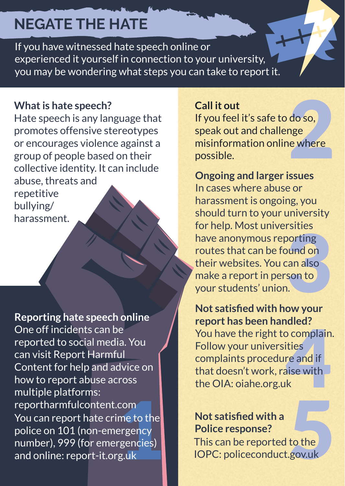# **NEGATE THE HATE**

If you have witnessed hate speech online or experienced it yourself in connection to your university, you may be wondering what steps you can take to report it.

#### **What is hate speech?**

Hate speech is any language that promotes offensive stereotypes or encourages violence against a group of people based on their collective identity. It can include abuse, threats and repetitive bullying/ harassment.

com<br>me to the<br>ergency<br>rgencies)<br>g.uk **Reporting hate speech online** One off incidents can be reported to social media. You can visit Report Harmful Content for help and advice on how to report abuse across multiple platforms: [reportharmfulcontent.com](https://reportharmfulcontent.com/) You can report hate crime to the police on 101 (non-emergency number), 999 (for emergencies) and online: [report-it.org.uk](https://www.report-it.org.uk/) 

**Call it out**<br>If you feel it's safe to do so,<br>speak out and challenge<br>misinformation online where<br>possible. If you feel it's safe to do so, speak out and challenge misinformation online where possible.

Fattles<br>
porting<br>
pund on<br>
can also<br>
son to<br>
l. **Ongoing and larger issues** In cases where abuse or harassment is ongoing, you should turn to your university for help. Most universities have anonymous reporting routes that can be found on their websites. You can also make a report in person to your students' union.

If the OIA: oiahe.org.uk report has been nandied:<br>You have the right to complain.<br>Follow your universities<br>complaints procedure and if<br>that doesn't work, raise with<br>the OIA: oiahe.org.uk **Not satisfied with how your report has been handled?** Follow your universities complaints procedure and if that doesn't work, raise with

### matter, you can report this to be  $\blacksquare$  Not satisfied with a **Police response?**

police response to a criminal

 $\mathbf{v}$ 

 $\blacksquare$  This can be reported to the **IOPC: [policeconduct.gov.uk](https://policeconduct.gov.uk/)**